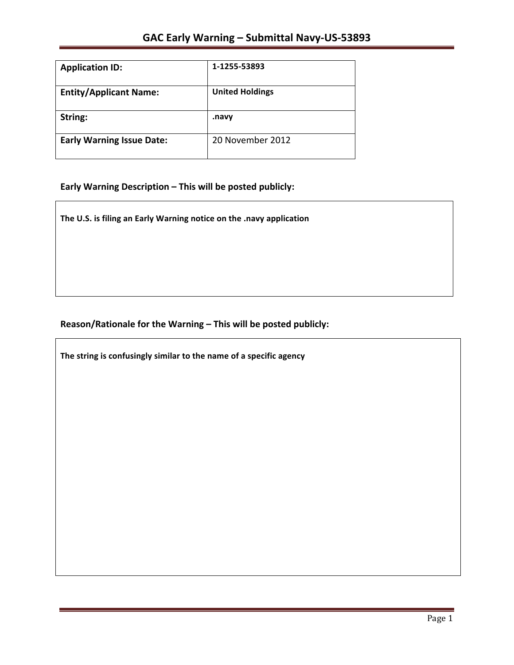| <b>Application ID:</b>           | 1-1255-53893           |
|----------------------------------|------------------------|
| <b>Entity/Applicant Name:</b>    | <b>United Holdings</b> |
| String:                          | .navy                  |
| <b>Early Warning Issue Date:</b> | 20 November 2012       |

# Early Warning Description - This will be posted publicly:

The U.S. is filing an Early Warning notice on the .navy application

## Reason/Rationale for the Warning - This will be posted publicly:

The string is confusingly similar to the name of a specific agency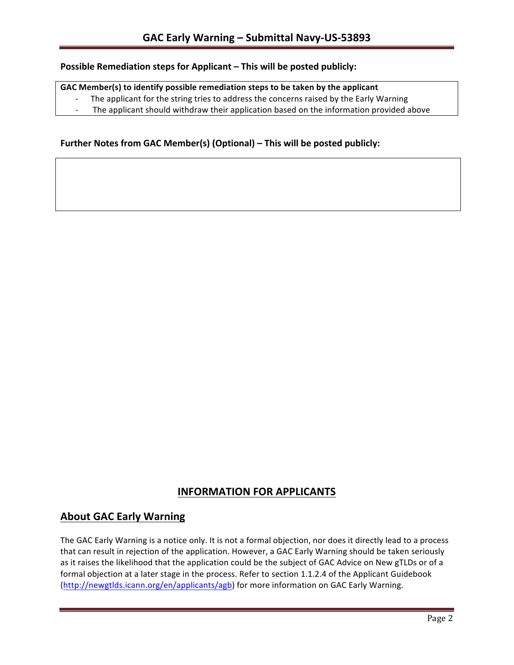### **Possible Remediation steps for Applicant – This will be posted publicly:**

### GAC Member(s) to identify possible remediation steps to be taken by the applicant

- The applicant for the string tries to address the concerns raised by the Early Warning
- The applicant should withdraw their application based on the information provided above

### **Further Notes from GAC Member(s) (Optional) – This will be posted publicly:**

## **INFORMATION FOR APPLICANTS**

## **About GAC Early Warning**

The GAC Early Warning is a notice only. It is not a formal objection, nor does it directly lead to a process that can result in rejection of the application. However, a GAC Early Warning should be taken seriously as it raises the likelihood that the application could be the subject of GAC Advice on New gTLDs or of a formal objection at a later stage in the process. Refer to section 1.1.2.4 of the Applicant Guidebook (http://newgtlds.icann.org/en/applicants/agb) for more information on GAC Early Warning.